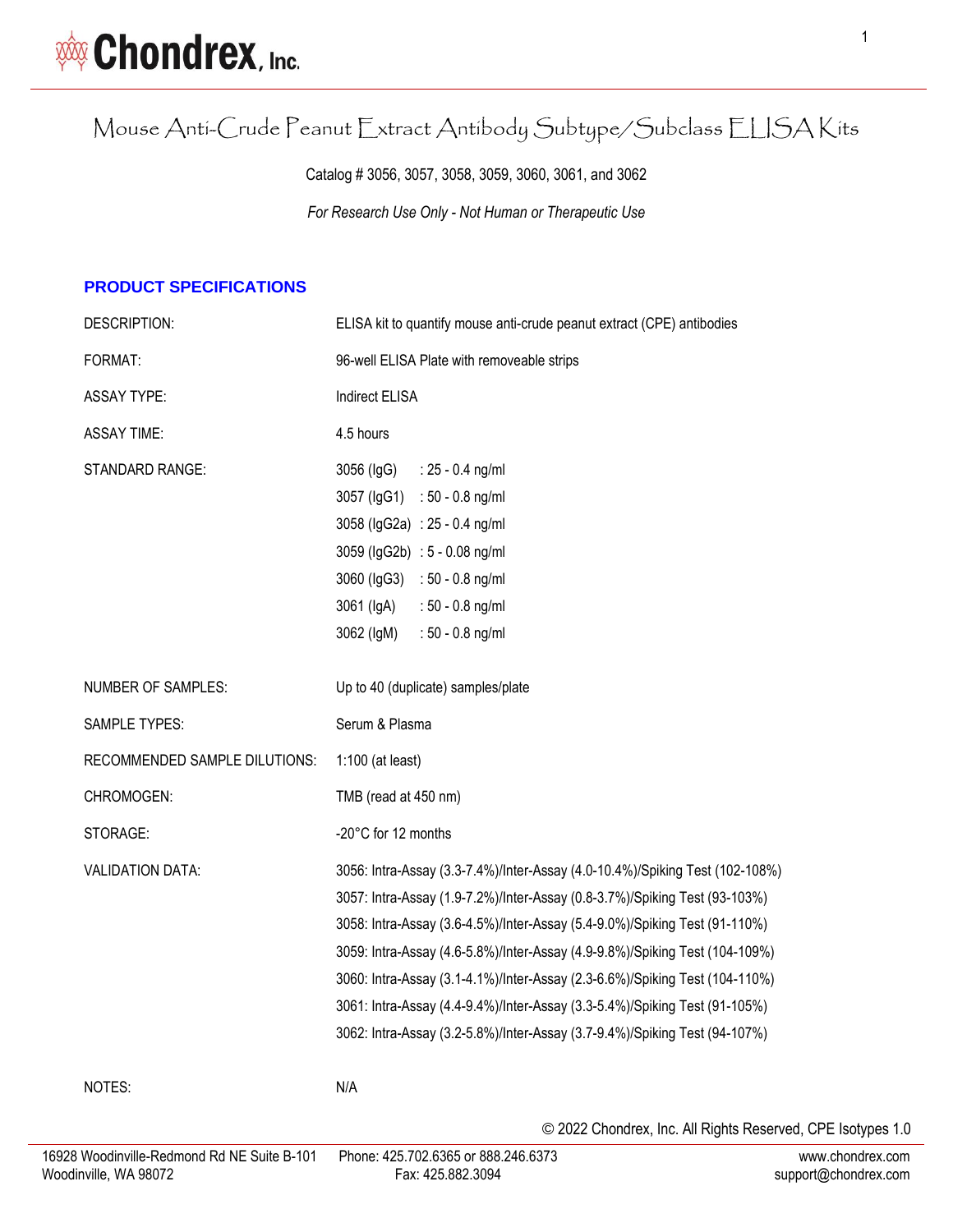# Mouse Anti-Crude Peanut Extract Antibody Subtype/Subclass ELISA Kits

Catalog # 3056, 3057, 3058, 3059, 3060, 3061, and 3062 *For Research Use Only - Not Human or Therapeutic Use*

## **PRODUCT SPECIFICATIONS**

| DESCRIPTION:                  | ELISA kit to quantify mouse anti-crude peanut extract (CPE) antibodies                                                                                                                                                                                                                                                                                                                                                                                                                                                                                             |
|-------------------------------|--------------------------------------------------------------------------------------------------------------------------------------------------------------------------------------------------------------------------------------------------------------------------------------------------------------------------------------------------------------------------------------------------------------------------------------------------------------------------------------------------------------------------------------------------------------------|
| FORMAT:                       | 96-well ELISA Plate with removeable strips                                                                                                                                                                                                                                                                                                                                                                                                                                                                                                                         |
| <b>ASSAY TYPE:</b>            | <b>Indirect ELISA</b>                                                                                                                                                                                                                                                                                                                                                                                                                                                                                                                                              |
| <b>ASSAY TIME:</b>            | 4.5 hours                                                                                                                                                                                                                                                                                                                                                                                                                                                                                                                                                          |
| STANDARD RANGE:               | 3056 (IgG)<br>$: 25 - 0.4$ ng/ml<br>3057 (lgG1) : 50 - 0.8 ng/ml<br>3058 (IgG2a) : 25 - 0.4 ng/ml<br>3059 (IgG2b) : 5 - 0.08 ng/ml<br>3060 (lgG3) : 50 - 0.8 ng/ml<br>3061 (IgA)<br>$: 50 - 0.8$ ng/ml<br>3062 (IgM)<br>$: 50 - 0.8$ ng/ml                                                                                                                                                                                                                                                                                                                         |
| <b>NUMBER OF SAMPLES:</b>     | Up to 40 (duplicate) samples/plate                                                                                                                                                                                                                                                                                                                                                                                                                                                                                                                                 |
| <b>SAMPLE TYPES:</b>          | Serum & Plasma                                                                                                                                                                                                                                                                                                                                                                                                                                                                                                                                                     |
| RECOMMENDED SAMPLE DILUTIONS: | $1:100$ (at least)                                                                                                                                                                                                                                                                                                                                                                                                                                                                                                                                                 |
| CHROMOGEN:                    | TMB (read at 450 nm)                                                                                                                                                                                                                                                                                                                                                                                                                                                                                                                                               |
| STORAGE:                      | -20°C for 12 months                                                                                                                                                                                                                                                                                                                                                                                                                                                                                                                                                |
| <b>VALIDATION DATA:</b>       | 3056: Intra-Assay (3.3-7.4%)/Inter-Assay (4.0-10.4%)/Spiking Test (102-108%)<br>3057: Intra-Assay (1.9-7.2%)/Inter-Assay (0.8-3.7%)/Spiking Test (93-103%)<br>3058: Intra-Assay (3.6-4.5%)/Inter-Assay (5.4-9.0%)/Spiking Test (91-110%)<br>3059: Intra-Assay (4.6-5.8%)/Inter-Assay (4.9-9.8%)/Spiking Test (104-109%)<br>3060: Intra-Assay (3.1-4.1%)/Inter-Assay (2.3-6.6%)/Spiking Test (104-110%)<br>3061: Intra-Assay (4.4-9.4%)/Inter-Assay (3.3-5.4%)/Spiking Test (91-105%)<br>3062: Intra-Assay (3.2-5.8%)/Inter-Assay (3.7-9.4%)/Spiking Test (94-107%) |
| NOTES:                        | N/A                                                                                                                                                                                                                                                                                                                                                                                                                                                                                                                                                                |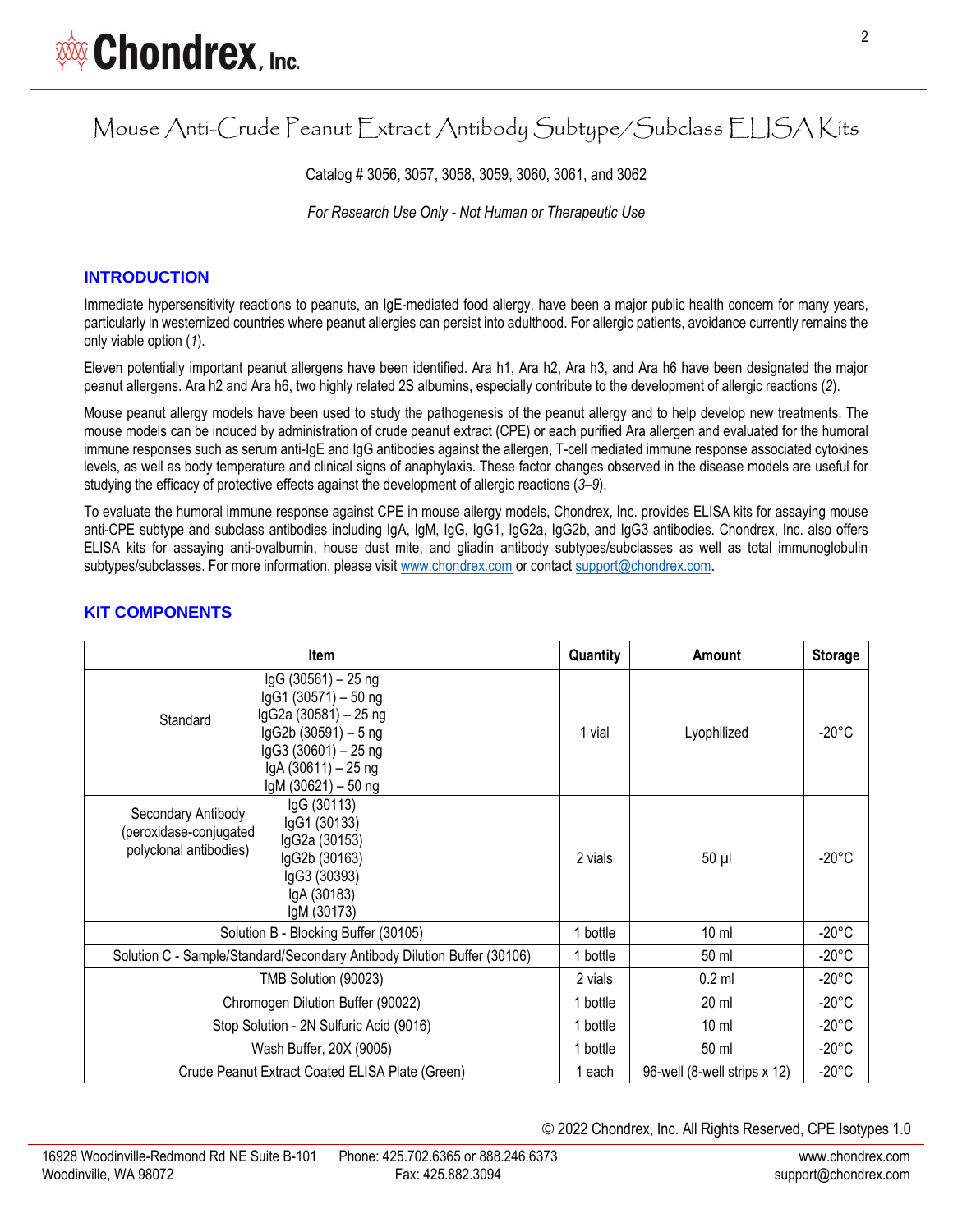# Mouse Anti-Crude Peanut Extract Antibody Subtype/Subclass ELISA Kits

Catalog # 3056, 3057, 3058, 3059, 3060, 3061, and 3062

*For Research Use Only - Not Human or Therapeutic Use*

### **INTRODUCTION**

Immediate hypersensitivity reactions to peanuts, an IgE-mediated food allergy, have been a major public health concern for many years, particularly in westernized countries where peanut allergies can persist into adulthood. For allergic patients, avoidance currently remains the only viable option (*1*).

Eleven potentially important peanut allergens have been identified. Ara h1, Ara h2, Ara h3, and Ara h6 have been designated the major peanut allergens. Ara h2 and Ara h6, two highly related 2S albumins, especially contribute to the development of allergic reactions (*2*).

Mouse peanut allergy models have been used to study the pathogenesis of the peanut allergy and to help develop new treatments. The mouse models can be induced by administration of crude peanut extract (CPE) or each purified Ara allergen and evaluated for the humoral immune responses such as serum anti-IgE and IgG antibodies against the allergen, T-cell mediated immune response associated cytokines levels, as well as body temperature and clinical signs of anaphylaxis. These factor changes observed in the disease models are useful for studying the efficacy of protective effects against the development of allergic reactions (*3*–*9*).

To evaluate the humoral immune response against CPE in mouse allergy models, Chondrex, Inc. provides ELISA kits for assaying mouse anti-CPE subtype and subclass antibodies including IgA, IgM, IgG, IgG1, IgG2a, IgG2b, and IgG3 antibodies. Chondrex, Inc. also offers ELISA kits for assaying anti-ovalbumin, house dust mite, and gliadin antibody subtypes/subclasses as well as total immunoglobulin subtypes/subclasses. For more information, please visit [www.chondrex.com](file:///G:/My%20Drive/www.chondrex.com) or contact [support@chondrex.com.](mailto:support@chondrex.com)

| <b>Item</b>                                                                                                                                                                           | Quantity | Amount                       | <b>Storage</b>  |
|---------------------------------------------------------------------------------------------------------------------------------------------------------------------------------------|----------|------------------------------|-----------------|
| IgG (30561) - 25 ng<br>lgG1 (30571) - 50 ng<br>IgG2a (30581) - 25 ng<br>Standard<br>lgG2b (30591) - 5 ng<br>lgG3 (30601) - 25 ng<br>lgA (30611) - 25 ng<br>lgM (30621) - 50 ng        | 1 vial   | Lyophilized                  | $-20^{\circ}$ C |
| IgG (30113)<br>Secondary Antibody<br>IgG1 (30133)<br>(peroxidase-conjugated<br>IgG2a (30153)<br>polyclonal antibodies)<br>lgG2b (30163)<br>IgG3 (30393)<br>IgA (30183)<br>IgM (30173) | 2 vials  | 50 µl                        | $-20^{\circ}$ C |
| Solution B - Blocking Buffer (30105)                                                                                                                                                  | 1 bottle | 10 <sub>m</sub>              | $-20^{\circ}$ C |
| Solution C - Sample/Standard/Secondary Antibody Dilution Buffer (30106)                                                                                                               | 1 bottle | 50 ml                        | $-20^{\circ}$ C |
| TMB Solution (90023)                                                                                                                                                                  | 2 vials  | $0.2$ ml                     | $-20^{\circ}$ C |
| Chromogen Dilution Buffer (90022)                                                                                                                                                     | 1 bottle | $20 \mathrm{ml}$             | $-20^{\circ}$ C |
| Stop Solution - 2N Sulfuric Acid (9016)                                                                                                                                               |          | 10 <sub>m</sub>              | $-20^{\circ}$ C |
| Wash Buffer, 20X (9005)                                                                                                                                                               |          | 50 ml                        | $-20^{\circ}$ C |
| Crude Peanut Extract Coated ELISA Plate (Green)                                                                                                                                       | 1 each   | 96-well (8-well strips x 12) | $-20^{\circ}$ C |

### **KIT COMPONENTS**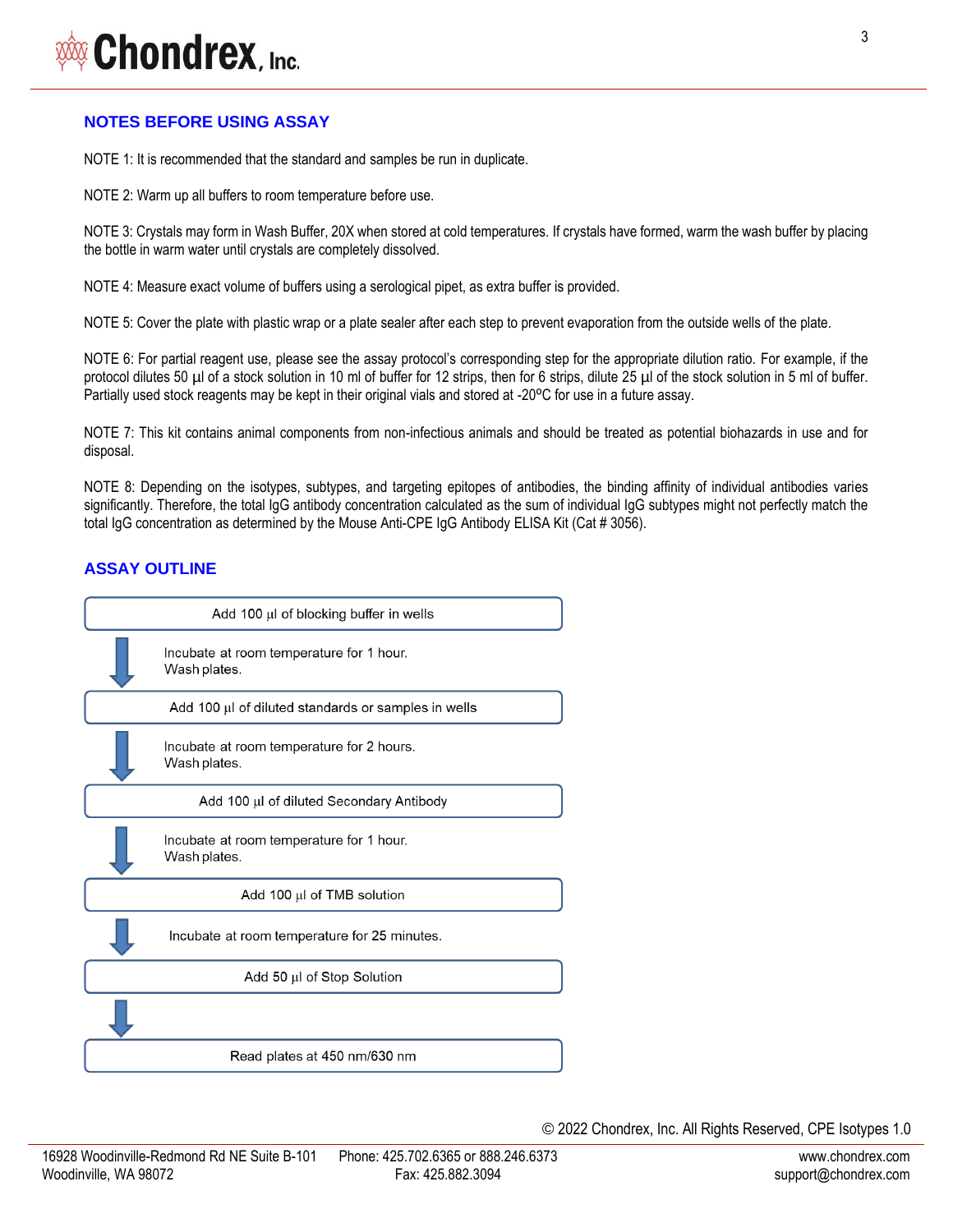# Chondrex, Inc.

# **NOTES BEFORE USING ASSAY**

NOTE 1: It is recommended that the standard and samples be run in duplicate.

NOTE 2: Warm up all buffers to room temperature before use.

NOTE 3: Crystals may form in Wash Buffer, 20X when stored at cold temperatures. If crystals have formed, warm the wash buffer by placing the bottle in warm water until crystals are completely dissolved.

NOTE 4: Measure exact volume of buffers using a serological pipet, as extra buffer is provided.

NOTE 5: Cover the plate with plastic wrap or a plate sealer after each step to prevent evaporation from the outside wells of the plate.

NOTE 6: For partial reagent use, please see the assay protocol's corresponding step for the appropriate dilution ratio. For example, if the protocol dilutes 50 µl of a stock solution in 10 ml of buffer for 12 strips, then for 6 strips, dilute 25 µl of the stock solution in 5 ml of buffer. Partially used stock reagents may be kept in their original vials and stored at -20°C for use in a future assay.

NOTE 7: This kit contains animal components from non-infectious animals and should be treated as potential biohazards in use and for disposal.

NOTE 8: Depending on the isotypes, subtypes, and targeting epitopes of antibodies, the binding affinity of individual antibodies varies significantly. Therefore, the total IgG antibody concentration calculated as the sum of individual IgG subtypes might not perfectly match the total IgG concentration as determined by the Mouse Anti-CPE IgG Antibody ELISA Kit (Cat # 3056).

# **ASSAY OUTLINE**

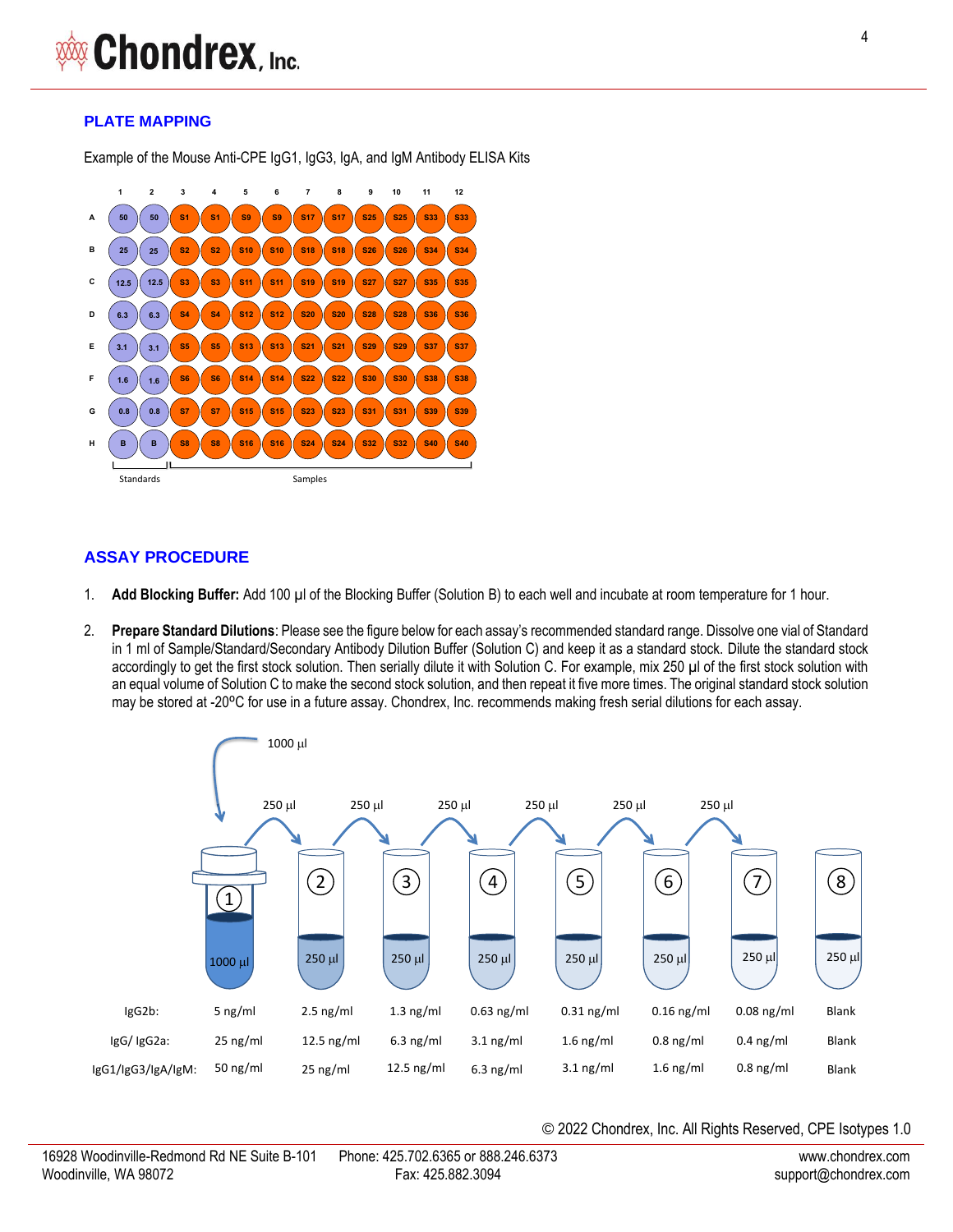### **PLATE MAPPING**

Example of the Mouse Anti-CPE IgG1, IgG3, IgA, and IgM Antibody ELISA Kits



## **ASSAY PROCEDURE**

- 1. **Add Blocking Buffer:** Add 100 µl of the Blocking Buffer (Solution B) to each well and incubate at room temperature for 1 hour.
- 2. **Prepare Standard Dilutions**: Please see the figure below for each assay's recommended standard range. Dissolve one vial of Standard in 1 ml of Sample/Standard/Secondary Antibody Dilution Buffer (Solution C) and keep it as a standard stock. Dilute the standard stock accordingly to get the first stock solution. Then serially dilute it with Solution C. For example, mix 250 µl of the first stock solution with an equal volume of Solution C to make the second stock solution, and then repeat it five more times. The original standard stock solution may be stored at -20°C for use in a future assay. Chondrex, Inc. recommends making fresh serial dilutions for each assay.

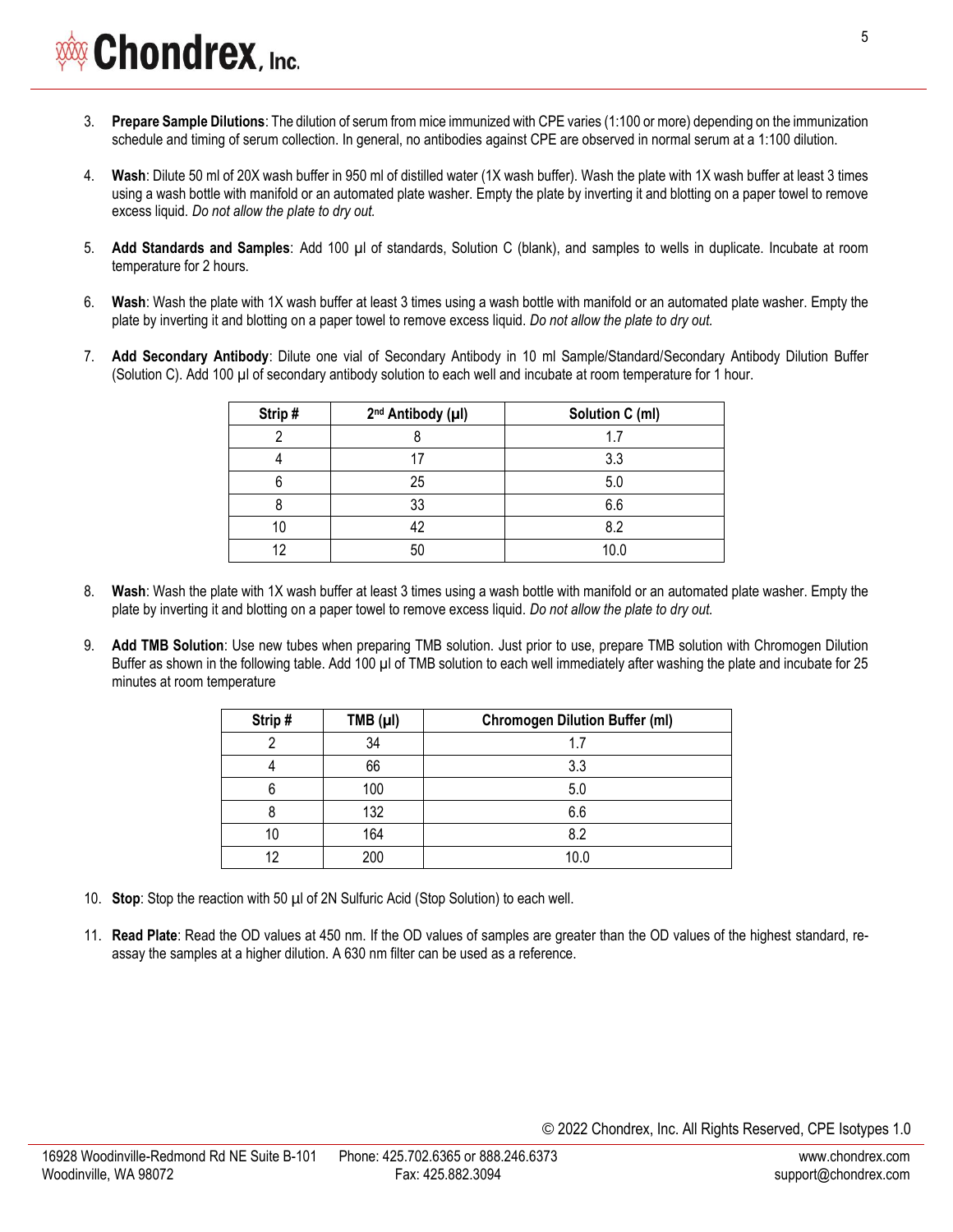- 3. **Prepare Sample Dilutions**: The dilution of serum from mice immunized with CPE varies (1:100 or more) depending on the immunization schedule and timing of serum collection. In general, no antibodies against CPE are observed in normal serum at a 1:100 dilution.
- 4. **Wash**: Dilute 50 ml of 20X wash buffer in 950 ml of distilled water (1X wash buffer). Wash the plate with 1X wash buffer at least 3 times using a wash bottle with manifold or an automated plate washer. Empty the plate by inverting it and blotting on a paper towel to remove excess liquid. *Do not allow the plate to dry out.*
- 5. **Add Standards and Samples**: Add 100 µl of standards, Solution C (blank), and samples to wells in duplicate. Incubate at room temperature for 2 hours.
- 6. **Wash**: Wash the plate with 1X wash buffer at least 3 times using a wash bottle with manifold or an automated plate washer. Empty the plate by inverting it and blotting on a paper towel to remove excess liquid. *Do not allow the plate to dry out.*
- 7. **Add Secondary Antibody**: Dilute one vial of Secondary Antibody in 10 ml Sample/Standard/Secondary Antibody Dilution Buffer (Solution C). Add 100 µl of secondary antibody solution to each well and incubate at room temperature for 1 hour.

| Strip# | 2 <sup>nd</sup> Antibody (µl) | Solution C (ml) |
|--------|-------------------------------|-----------------|
|        |                               | 1.7             |
|        |                               | 3.3             |
|        | 25                            | 5.0             |
|        | 33                            | 6.6             |
|        | 42                            | 8.2             |
| 10     | 50                            | 10.0            |

- 8. **Wash**: Wash the plate with 1X wash buffer at least 3 times using a wash bottle with manifold or an automated plate washer. Empty the plate by inverting it and blotting on a paper towel to remove excess liquid. *Do not allow the plate to dry out.*
- 9. **Add TMB Solution**: Use new tubes when preparing TMB solution. Just prior to use, prepare TMB solution with Chromogen Dilution Buffer as shown in the following table. Add 100 µl of TMB solution to each well immediately after washing the plate and incubate for 25 minutes at room temperature

| Strip# | TMB (µI) | <b>Chromogen Dilution Buffer (ml)</b> |  |
|--------|----------|---------------------------------------|--|
|        | 34       | 1.7                                   |  |
|        | 66       | 3.3                                   |  |
|        | 100      | 5.0                                   |  |
|        | 132      | 6.6                                   |  |
| 10     | 164      | 8.2                                   |  |
| 19     | 200      | 10.0                                  |  |

- 10. **Stop**: Stop the reaction with 50 µl of 2N Sulfuric Acid (Stop Solution) to each well.
- 11. **Read Plate**: Read the OD values at 450 nm. If the OD values of samples are greater than the OD values of the highest standard, reassay the samples at a higher dilution. A 630 nm filter can be used as a reference.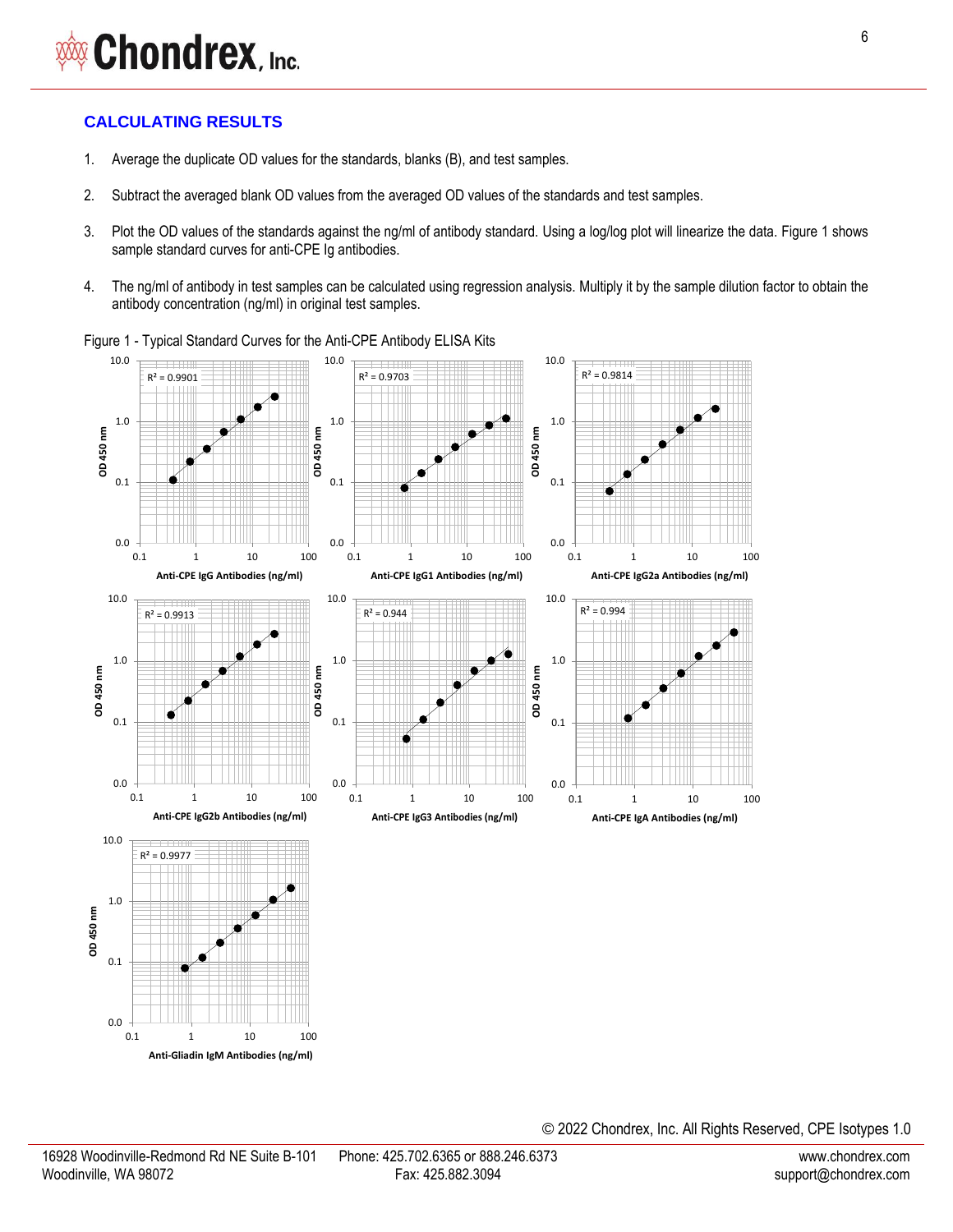# **CALCULATING RESULTS**

- 1. Average the duplicate OD values for the standards, blanks (B), and test samples.
- 2. Subtract the averaged blank OD values from the averaged OD values of the standards and test samples.
- 3. Plot the OD values of the standards against the ng/ml of antibody standard. Using a log/log plot will linearize the data. Figure 1 shows sample standard curves for anti-CPE Ig antibodies.
- 4. The ng/ml of antibody in test samples can be calculated using regression analysis. Multiply it by the sample dilution factor to obtain the antibody concentration (ng/ml) in original test samples.



Figure 1 - Typical Standard Curves for the Anti-CPE Antibody ELISA Kits

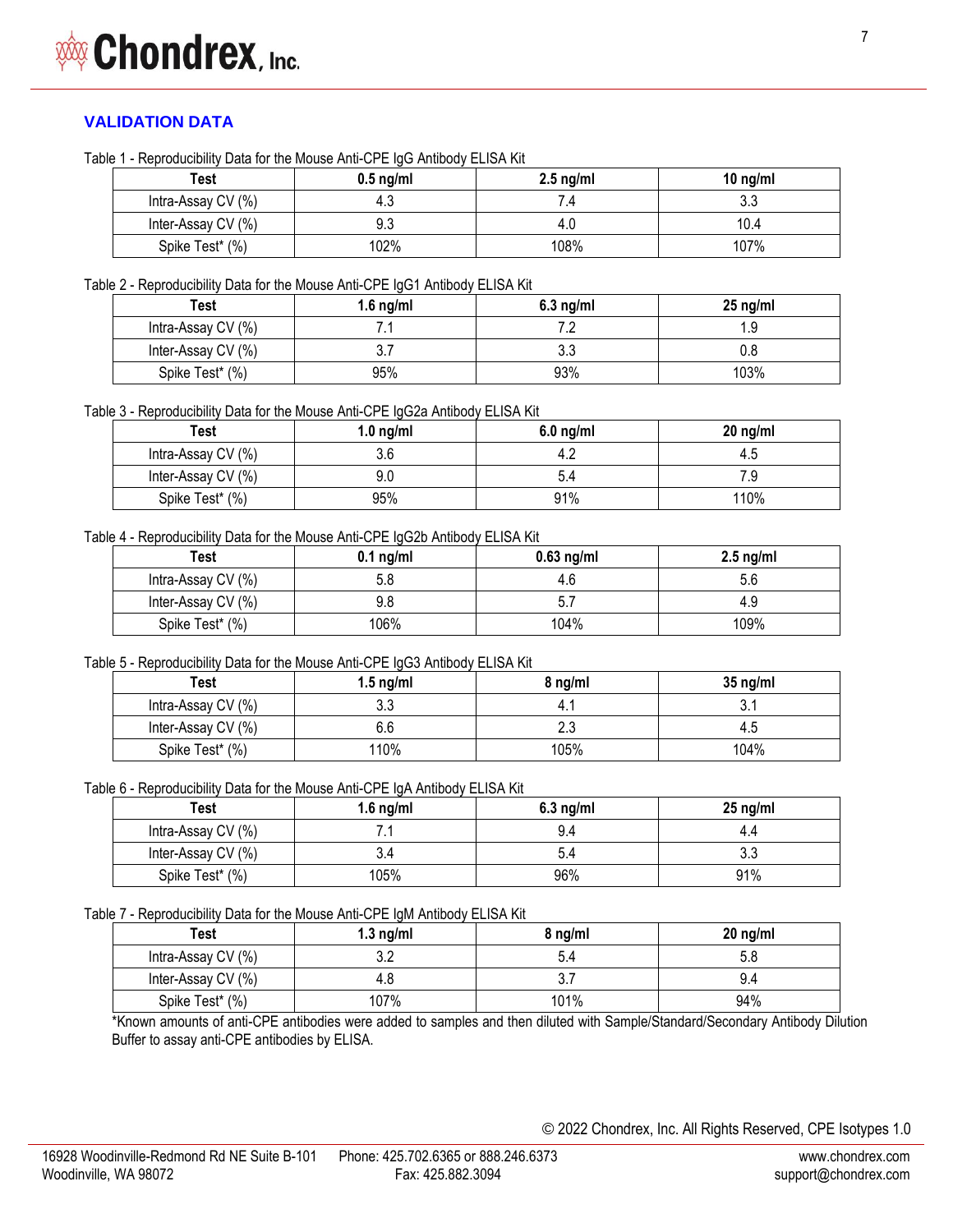# **VALIDATION DATA**

Table 1 - Reproducibility Data for the Mouse Anti-CPE IgG Antibody ELISA Kit

| Test               | $0.5$ ng/ml | $2.5 \text{ ng/ml}$ | 10 $ng/ml$ |
|--------------------|-------------|---------------------|------------|
| Intra-Assay CV (%) | 4.3         |                     | າາ<br>J.J  |
| Inter-Assay CV (%) | 9.3         | 4.V                 | 10.4       |
| Spike Test* (%)    | 102%        | 108%                | 107%       |

Table 2 - Reproducibility Data for the Mouse Anti-CPE IgG1 Antibody ELISA Kit

| Test               | 1.6 $ng/ml$ | $6.3$ ng/ml | $25$ ng/ml |
|--------------------|-------------|-------------|------------|
| Intra-Assay CV (%) | . .         |             | . ყ        |
| Inter-Assay CV (%) | ບ. ເ        | U.J         |            |
| Spike Test* (%)    | 95%         | 93%         | 103%       |

Table 3 - Reproducibility Data for the Mouse Anti-CPE IgG2a Antibody ELISA Kit

| Test               | $1.0$ ng/ml | $6.0$ ng/ml | $20$ ng/ml |
|--------------------|-------------|-------------|------------|
| Intra-Assay CV (%) | 3.6         |             |            |
| Inter-Assay CV (%) | 9.0         |             |            |
| Spike Test* (%)    | 95%         | 91%         | 110%       |

Table 4 - Reproducibility Data for the Mouse Anti-CPE IgG2b Antibody ELISA Kit

| Test               | $0.1$ ng/ml | $0.63$ ng/ml | $2.5$ ng/ml |
|--------------------|-------------|--------------|-------------|
| Intra-Assay CV (%) | 5.8         |              |             |
| Inter-Assay CV (%) | 9.8         |              | 4.9         |
| Spike Test* (%)    | 106%        | 104%         | 109%        |

Table 5 - Reproducibility Data for the Mouse Anti-CPE IgG3 Antibody ELISA Kit

| Test               | $1.5 \text{ ng/ml}$ | 8 na/ml | $35$ ng/ml |
|--------------------|---------------------|---------|------------|
| Intra-Assay CV (%) | 21<br>ບ.ບ           |         |            |
| Inter-Assay CV (%) | 6.6                 | ے .     |            |
| Spike Test* (%)    | '10%                | 105%    | 104%       |

Table 6 - Reproducibility Data for the Mouse Anti-CPE IgA Antibody ELISA Kit

| Test               | 1.6 $ng/ml$ | $6.3$ ng/ml | $25$ ng/ml |
|--------------------|-------------|-------------|------------|
| Intra-Assay CV (%) | . .         | 9.4         | 4.4        |
| Inter-Assay CV (%) | 3.4         |             | υ.υ        |
| Spike Test* (%)    | 105%        | 96%         | 91%        |

Table 7 - Reproducibility Data for the Mouse Anti-CPE IgM Antibody ELISA Kit

| Test               | 1.3 $ng/ml$ | 8 ng/ml | $20$ ng/ml |
|--------------------|-------------|---------|------------|
| Intra-Assay CV (%) | ◡.∠         |         |            |
| Inter-Assay CV (%) | 4.8         |         | 9 4        |
| Spike Test* (%)    | 107%        | 101%    | 94%        |

\*Known amounts of anti-CPE antibodies were added to samples and then diluted with Sample/Standard/Secondary Antibody Dilution Buffer to assay anti-CPE antibodies by ELISA.